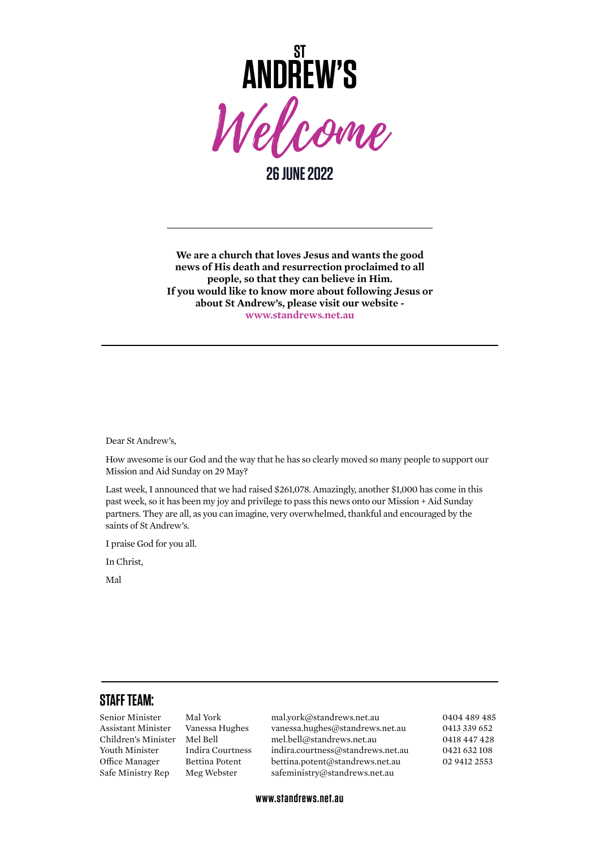

**26 JUNE 2022**

**We are a church that loves Jesus and wants the good news of His death and resurrection proclaimed to all people, so that they can believe in Him. If you would like to know more about following Jesus or about St Andrew's, please visit our website [www.standrews.net.au](http://www.standrews.net.au)**

Dear St Andrew's,

How awesome is our God and the way that he has so clearly moved so many people to support our Mission and Aid Sunday on 29 May?

Last week, I announced that we had raised \$261,078. Amazingly, another \$1,000 has come in this past week, so it has been my joy and privilege to pass this news onto our Mission + Aid Sunday partners. They are all, as you can imagine, very overwhelmed, thankful and encouraged by the saints of St Andrew's.

I praise God for you all.

In Christ,

Mal

## **STAFF TEAM:**

Senior Minister Mal York [mal.york@standrews.net.au](mailto:mal.york@standrews.net.au) 0404 489 485 Assistant Minister Vanessa Hughes [vanessa.hughes@standrews.net.au](mailto:vanessa.hughes@standrews.net.au) 0413 339 652 Children's Minister Mel Bell [mel.bell@standrews.net.au](mailto:mel.bell@standrews.net.au) 0418 447 428 Youth Minister Indira Courtness [indira.courtness@standrews.net.au](mailto:indira.courtness@standrews.net.au) 0421 632 108 Office Manager Bettina Potent bettina.potent@standrews.net.au 02 9412 2553 Safe Ministry Rep Meg Webster [safeministry@standrews.net.au](mailto:safeministry@standrews.net.au)

**www.standrews.net.au**